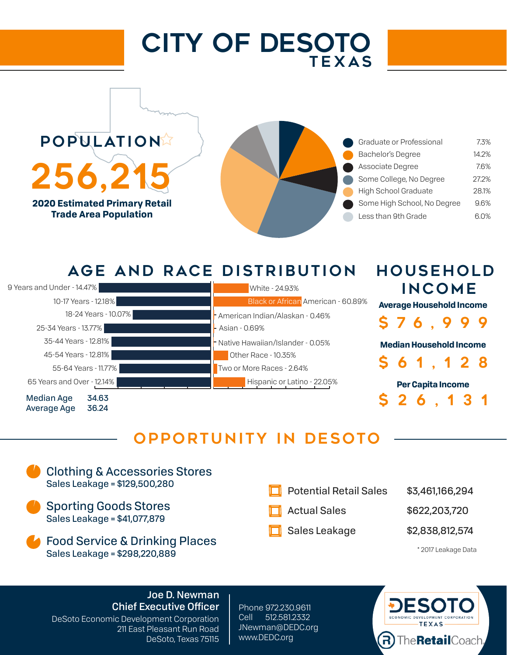# CITY OF DESOTO TEXAS

**POPULATION** 256.2 **2020 Estimated Primary Retail Trade Area Population**



### AGE AND RACE DISTRIBUTION



### OPPORTUNITY IN DESOTO



#### Joe D. Newman Chief Executive Officer

DeSoto Economic Development Corporation 211 East Pleasant Run Road DeSoto, Texas 75115

Phone 972.230.9611 Cell 512.581.2332 JNewman@DEDC.org www.DEDC.org



HOUSEHOLD